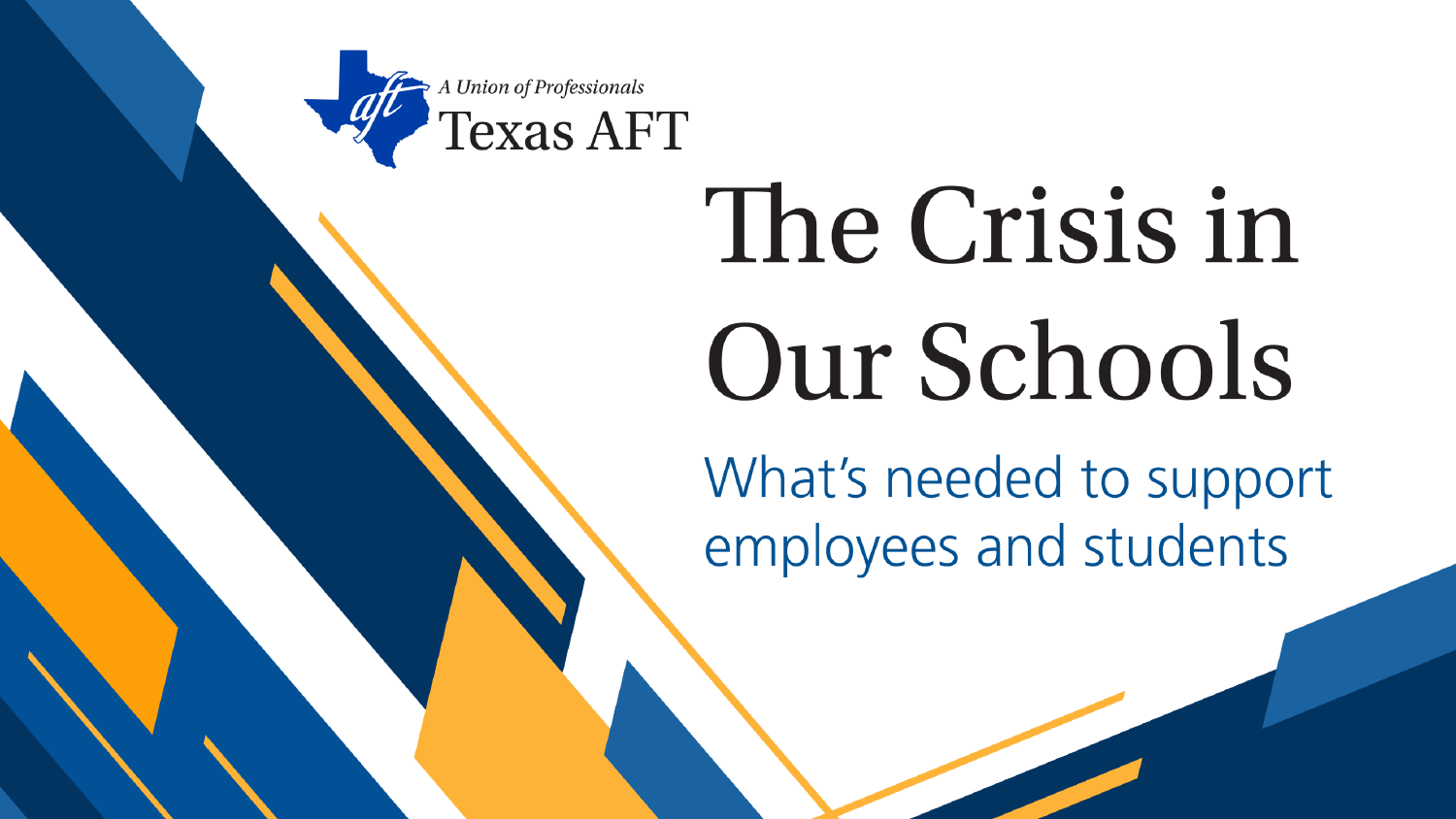

# The Crisis in Our Schools

What's needed to support employees and students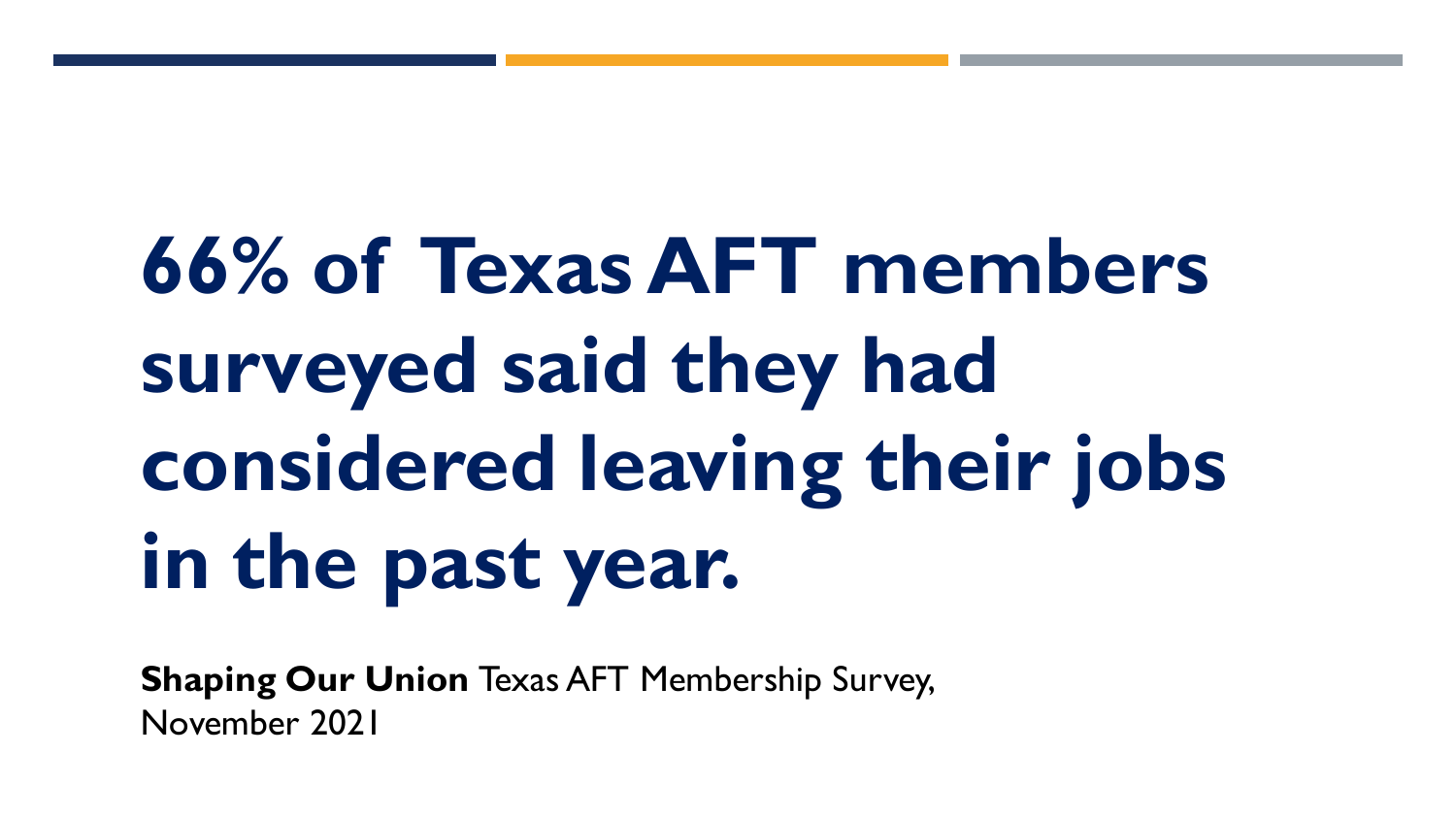**66% of Texas AFT members surveyed said they had considered leaving their jobs in the past year.**

**Shaping Our Union** Texas AFT Membership Survey, November 2021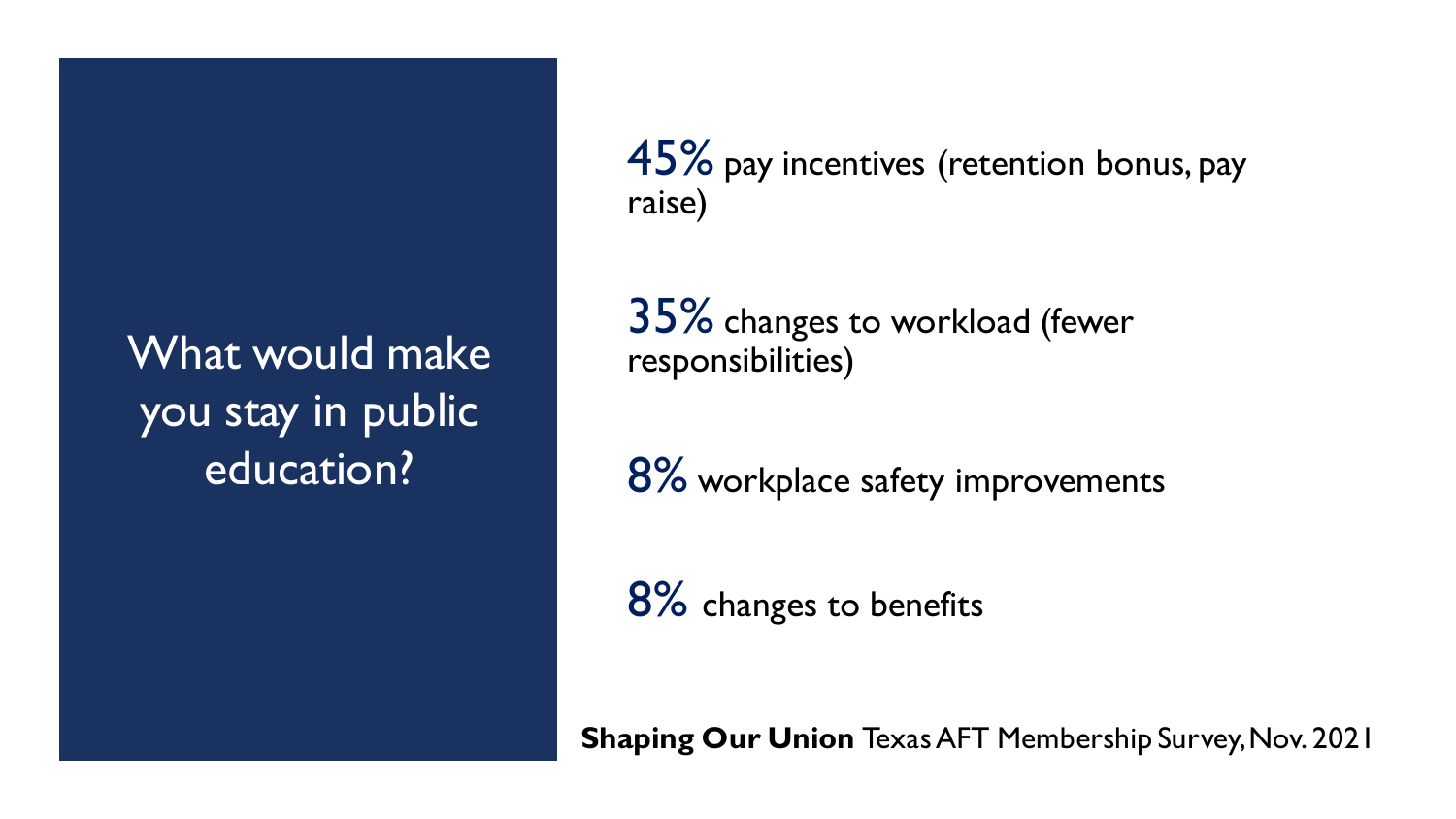What would make you stay in public education?

45% pay incentives (retention bonus, pay raise)

35% changes to workload (fewer responsibilities)

8% workplace safety improvements

8% changes to benefits

**Shaping Our Union** Texas AFT Membership Survey, Nov. 2021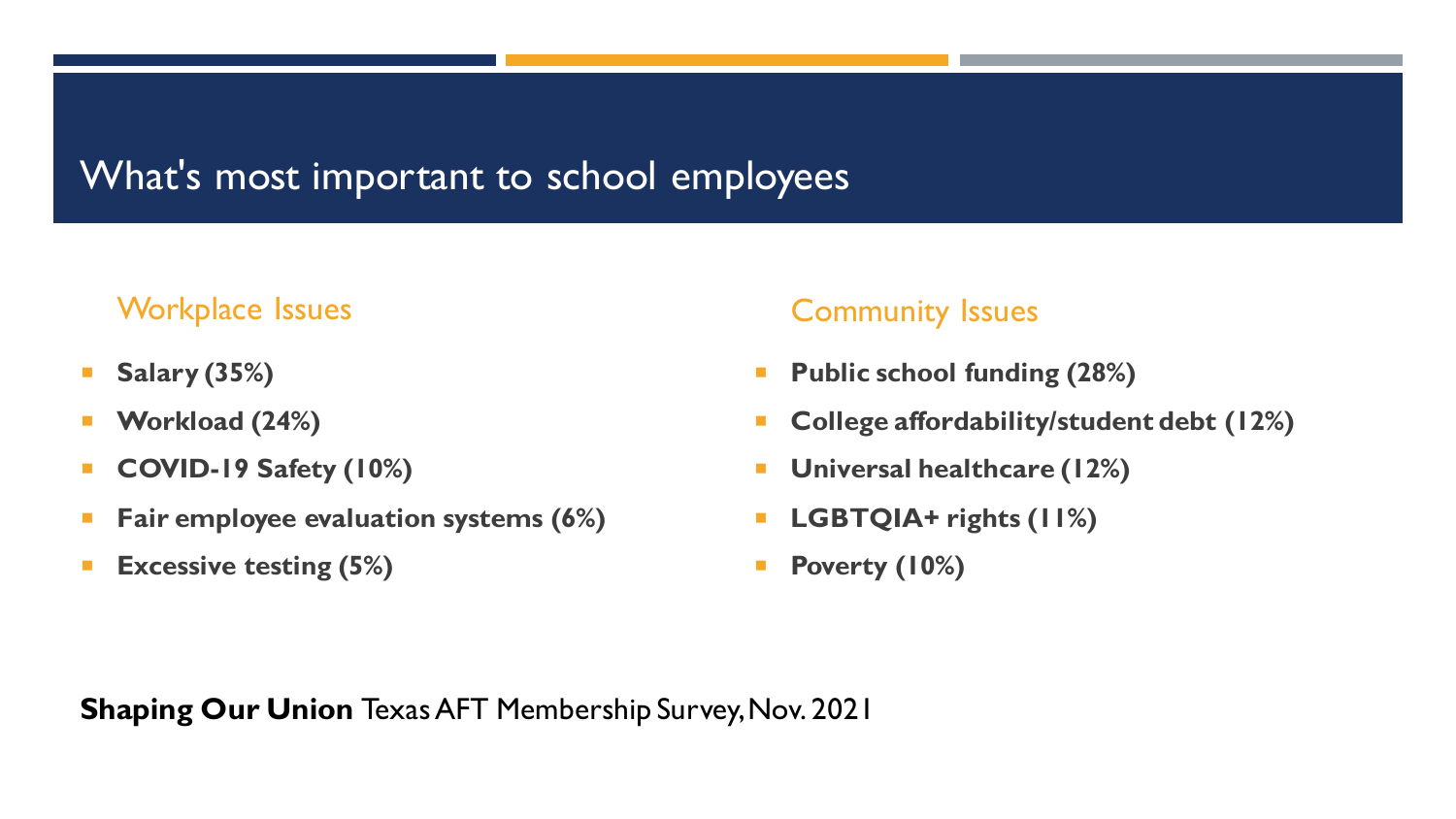### What's most important to school employees

#### Workplace Issues

- **Salary (35%)**
- **Workload (24%)**
- **COVID-19 Safety (10%)**
- **Fair employee evaluation systems (6%)**
- **Excessive testing (5%)**

#### Community Issues

- **Public school funding (28%)**
- **College affordability/student debt (12%)**
- **Universal healthcare (12%)**
- **LGBTQIA+ rights (11%)**
- **Poverty (10%)**

**Shaping Our Union** Texas AFT Membership Survey, Nov. 2021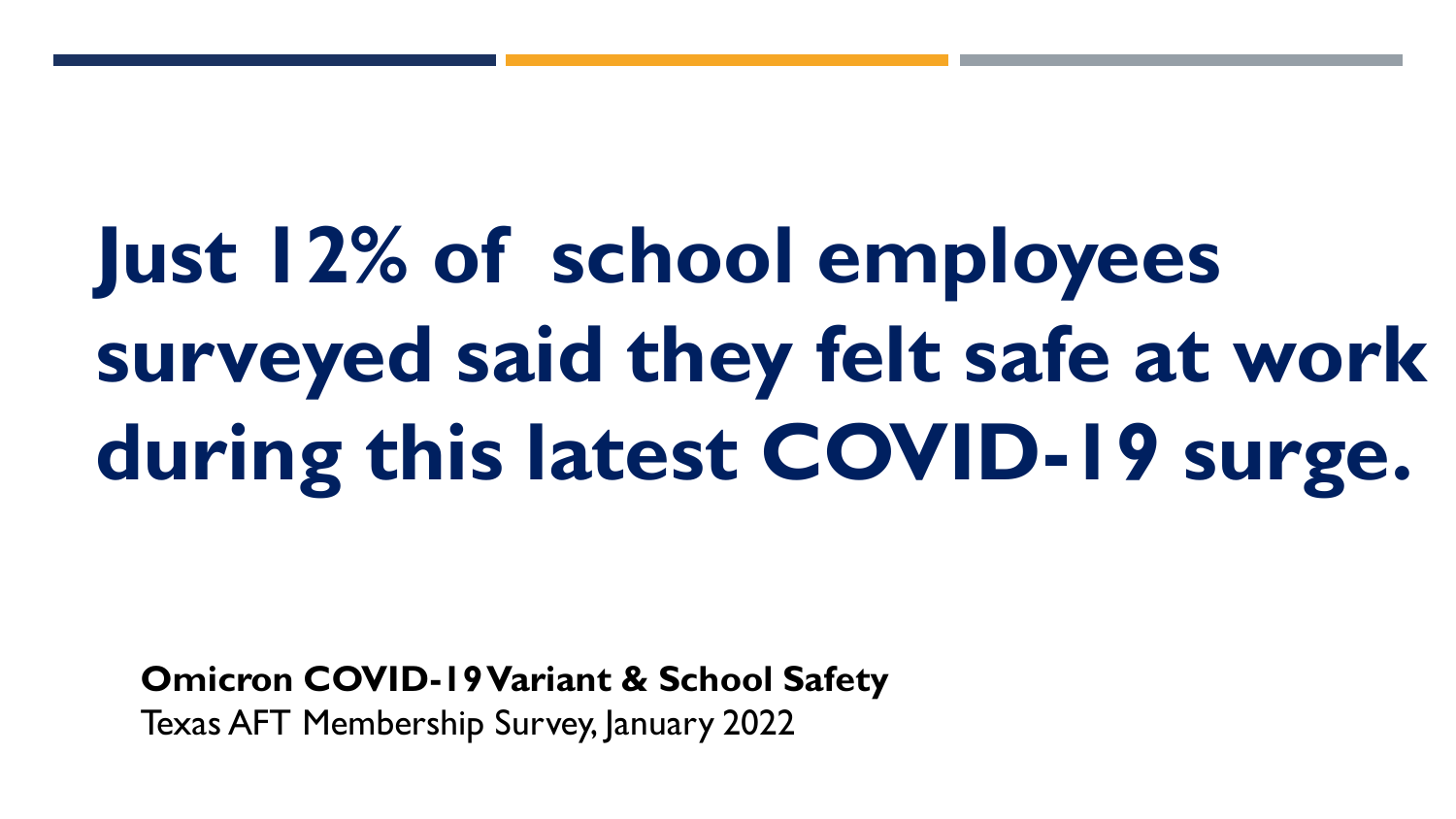# **Just 12% of school employees surveyed said they felt safe at work during this latest COVID-19 surge.**

**Omicron COVID-19 Variant & School Safety** Texas AFT Membership Survey, January 2022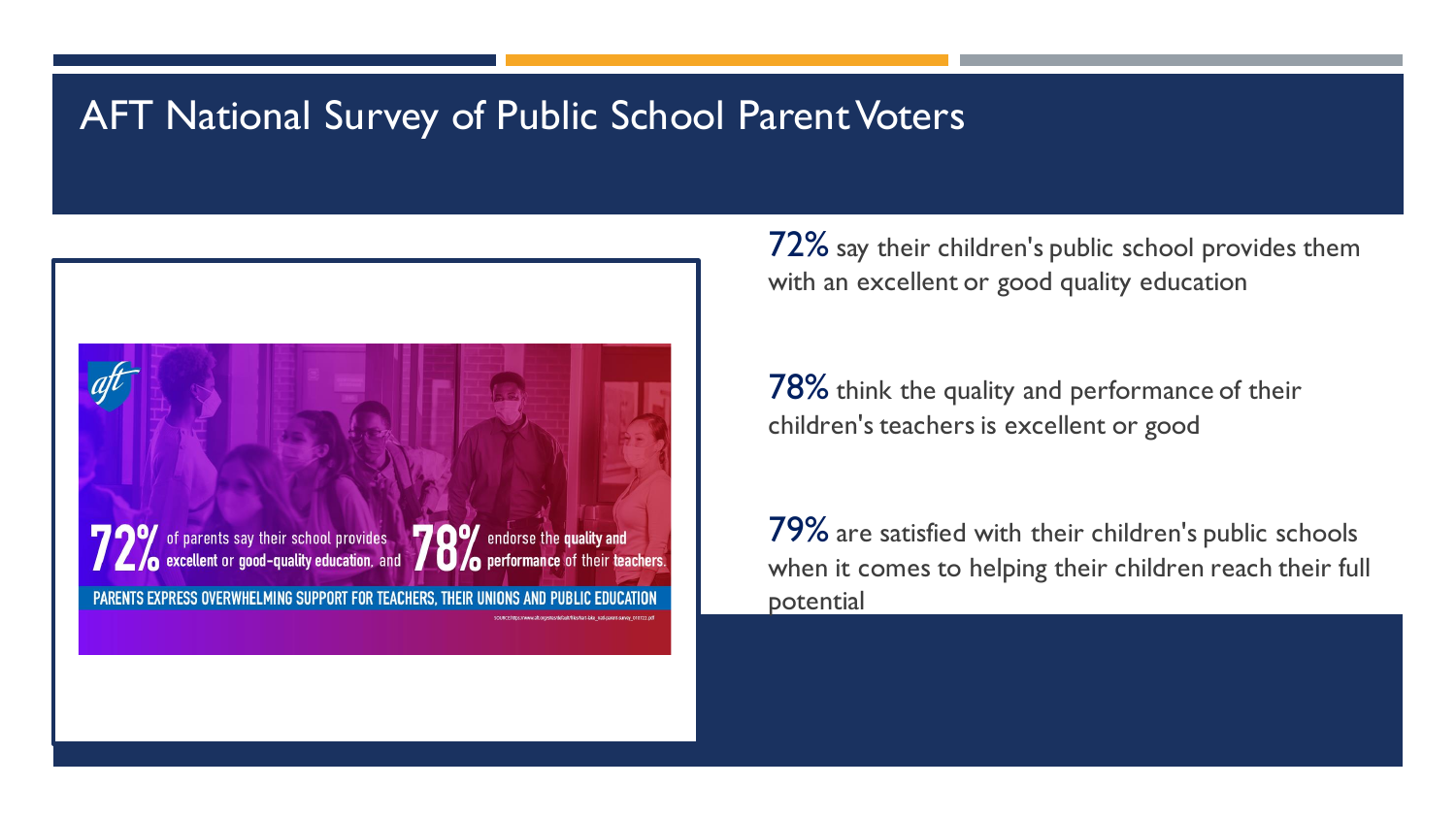## AFT National Survey of Public School Parent Voters



72% say their children's public school provides them with an excellent or good quality education

78% think the quality and performance of their children's teachers is excellent or good

79% are satisfied with their children's public schools when it comes to helping their children reach their full potential